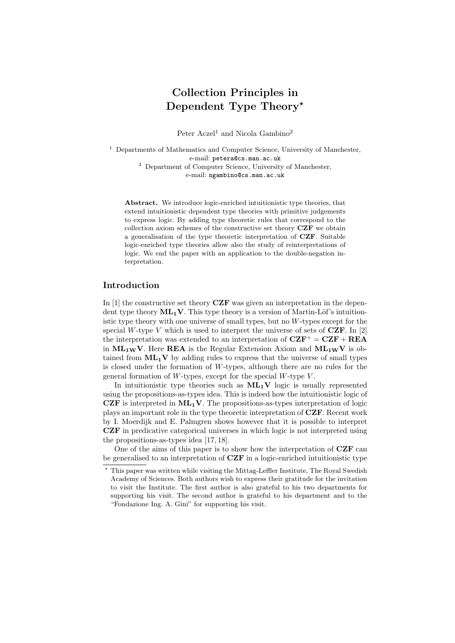# Collection Principles in Dependent Type Theory?

Peter  $Aczel<sup>1</sup>$  and Nicola Gambino<sup>2</sup>

<sup>1</sup> Departments of Mathematics and Computer Science, University of Manchester, e-mail: petera@cs.man.ac.uk <sup>2</sup> Department of Computer Science, University of Manchester, e-mail: ngambino@cs.man.ac.uk

Abstract. We introduce logic-enriched intuitionistic type theories, that extend intuitionistic dependent type theories with primitive judgements to express logic. By adding type theoretic rules that correspond to the collection axiom schemes of the constructive set theory CZF we obtain a generalisation of the type theoretic interpretation of CZF. Suitable logic-enriched type theories allow also the study of reinterpretations of logic. We end the paper with an application to the double-negation interpretation.

# Introduction

In  $[1]$  the constructive set theory  $CZF$  was given an interpretation in the dependent type theory  $ML_1V$ . This type theory is a version of Martin-Löf's intuitionistic type theory with one universe of small types, but no W-types except for the special W-type V which is used to interpret the universe of sets of  $CZF$ . In [2] the interpretation was extended to an interpretation of  $CZF^+ = CZF + REA$ in  $ML_{1W}V$ . Here **REA** is the Regular Extension Axiom and  $ML_{1W}V$  is obtained from  $ML_1V$  by adding rules to express that the universe of small types is closed under the formation of W-types, although there are no rules for the general formation of  $W$ -types, except for the special  $W$ -type  $V$ .

In intuitionistic type theories such as  $ML_1V$  logic is usually represented using the propositions-as-types idea. This is indeed how the intuitionistic logic of CZF is interpreted in  $ML_1V$ . The propositions-as-types interpretation of logic plays an important role in the type theoretic interpretation of CZF. Recent work by I. Moerdijk and E. Palmgren shows however that it is possible to interpret CZF in predicative categorical universes in which logic is not interpreted using the propositions-as-types idea [17, 18].

One of the aims of this paper is to show how the interpretation of CZF can be generalised to an interpretation of  $CZF$  in a logic-enriched intuitionistic type

<sup>?</sup> This paper was written while visiting the Mittag-Leffler Institute, The Royal Swedish Academy of Sciences. Both authors wish to express their gratitude for the invitation to visit the Institute. The first author is also grateful to his two departments for supporting his visit. The second author is grateful to his department and to the "Fondazione Ing. A. Gini" for supporting his visit.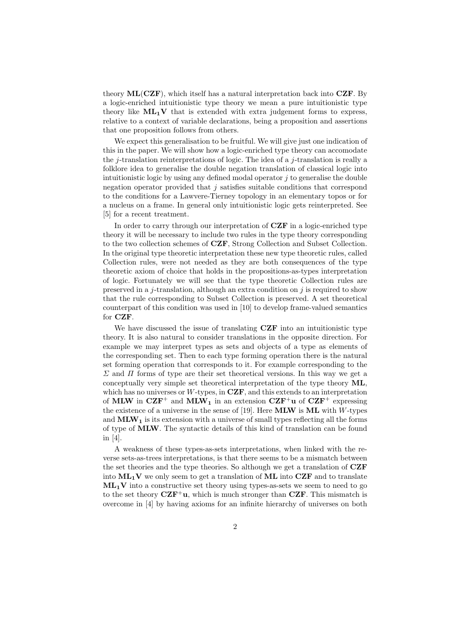theory  $ML(CZF)$ , which itself has a natural interpretation back into  $CZF$ . By a logic-enriched intuitionistic type theory we mean a pure intuitionistic type theory like  $ML_1V$  that is extended with extra judgement forms to express, relative to a context of variable declarations, being a proposition and assertions that one proposition follows from others.

We expect this generalisation to be fruitful. We will give just one indication of this in the paper. We will show how a logic-enriched type theory can accomodate the j-translation reinterpretations of logic. The idea of a j-translation is really a folklore idea to generalise the double negation translation of classical logic into intuitionistic logic by using any defined modal operator  $j$  to generalise the double negation operator provided that  $j$  satisfies suitable conditions that correspond to the conditions for a Lawvere-Tierney topology in an elementary topos or for a nucleus on a frame. In general only intuitionistic logic gets reinterpreted. See [5] for a recent treatment.

In order to carry through our interpretation of **CZF** in a logic-enriched type theory it will be necessary to include two rules in the type theory corresponding to the two collection schemes of CZF, Strong Collection and Subset Collection. In the original type theoretic interpretation these new type theoretic rules, called Collection rules, were not needed as they are both consequences of the type theoretic axiom of choice that holds in the propositions-as-types interpretation of logic. Fortunately we will see that the type theoretic Collection rules are preserved in a j-translation, although an extra condition on j is required to show that the rule corresponding to Subset Collection is preserved. A set theoretical counterpart of this condition was used in [10] to develop frame-valued semantics for CZF.

We have discussed the issue of translating CZF into an intuitionistic type theory. It is also natural to consider translations in the opposite direction. For example we may interpret types as sets and objects of a type as elements of the corresponding set. Then to each type forming operation there is the natural set forming operation that corresponds to it. For example corresponding to the  $\Sigma$  and  $\Pi$  forms of type are their set theoretical versions. In this way we get a conceptually very simple set theoretical interpretation of the type theory ML, which has no universes or W-types, in  $CZF$ , and this extends to an interpretation of MLW in  $CZF^+$  and MLW<sub>1</sub> in an extension  $CZF^+u$  of  $CZF^+$  expressing the existence of a universe in the sense of [19]. Here **MLW** is **ML** with  $W$ -types and  $MLW<sub>1</sub>$  is its extension with a universe of small types reflecting all the forms of type of MLW. The syntactic details of this kind of translation can be found in [4].

A weakness of these types-as-sets interpretations, when linked with the reverse sets-as-trees interpretations, is that there seems to be a mismatch between the set theories and the type theories. So although we get a translation of CZF into  $ML_1V$  we only seem to get a translation of  $ML$  into  $CZF$  and to translate  $ML_1V$  into a constructive set theory using types-as-sets we seem to need to go to the set theory  $CZF^+u$ , which is much stronger than  $CZF$ . This mismatch is overcome in [4] by having axioms for an infinite hierarchy of universes on both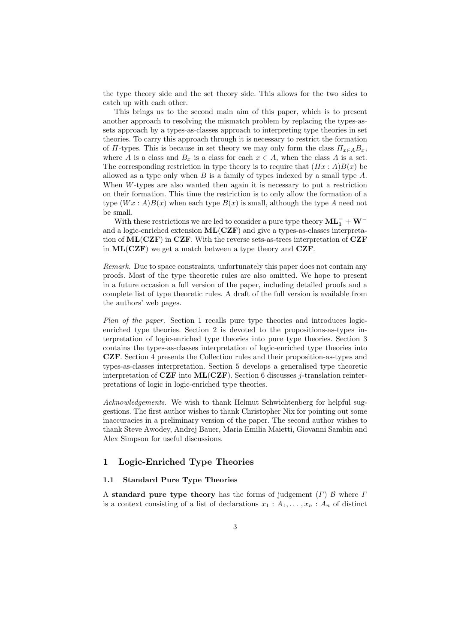the type theory side and the set theory side. This allows for the two sides to catch up with each other.

This brings us to the second main aim of this paper, which is to present another approach to resolving the mismatch problem by replacing the types-assets approach by a types-as-classes approach to interpreting type theories in set theories. To carry this approach through it is necessary to restrict the formation of  $\Pi$ -types. This is because in set theory we may only form the class  $\Pi_{x \in A} B_x$ , where A is a class and  $B_x$  is a class for each  $x \in A$ , when the class A is a set. The corresponding restriction in type theory is to require that  $(\Pi x : A)B(x)$  be allowed as a type only when  $B$  is a family of types indexed by a small type  $A$ . When W-types are also wanted then again it is necessary to put a restriction on their formation. This time the restriction is to only allow the formation of a type  $(Wx : A)B(x)$  when each type  $B(x)$  is small, although the type A need not be small.

With these restrictions we are led to consider a pure type theory  $\mathbf{ML_1^-} + \mathbf{W}^$ and a logic-enriched extension ML(CZF) and give a types-as-classes interpretation of  $ML(CZF)$  in CZF. With the reverse sets-as-trees interpretation of CZF in  $ML(CZF)$  we get a match between a type theory and  $CZF$ .

Remark. Due to space constraints, unfortunately this paper does not contain any proofs. Most of the type theoretic rules are also omitted. We hope to present in a future occasion a full version of the paper, including detailed proofs and a complete list of type theoretic rules. A draft of the full version is available from the authors' web pages.

Plan of the paper. Section 1 recalls pure type theories and introduces logicenriched type theories. Section 2 is devoted to the propositions-as-types interpretation of logic-enriched type theories into pure type theories. Section 3 contains the types-as-classes interpretation of logic-enriched type theories into CZF. Section 4 presents the Collection rules and their proposition-as-types and types-as-classes interpretation. Section 5 develops a generalised type theoretic interpretation of CZF into  $ML(CZF)$ . Section 6 discusses j-translation reinterpretations of logic in logic-enriched type theories.

Acknowledgements. We wish to thank Helmut Schwichtenberg for helpful suggestions. The first author wishes to thank Christopher Nix for pointing out some inaccuracies in a preliminary version of the paper. The second author wishes to thank Steve Awodey, Andrej Bauer, Maria Emilia Maietti, Giovanni Sambin and Alex Simpson for useful discussions.

# 1 Logic-Enriched Type Theories

# 1.1 Standard Pure Type Theories

A standard pure type theory has the forms of judgement  $(\Gamma)$  B where  $\Gamma$ is a context consisting of a list of declarations  $x_1 : A_1, \ldots, x_n : A_n$  of distinct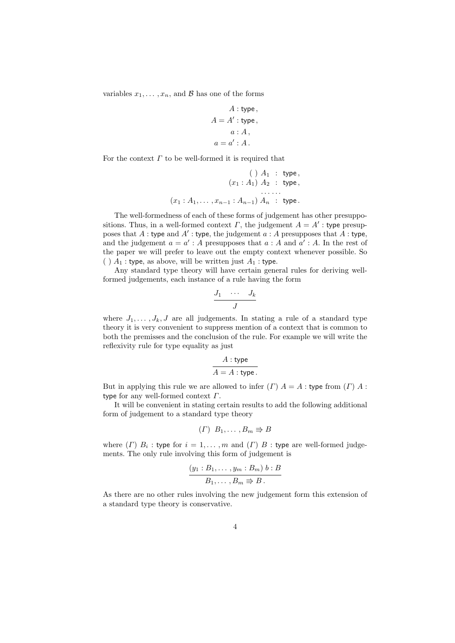variables  $x_1, \ldots, x_n$ , and  $\beta$  has one of the forms

$$
A: \text{type},
$$

$$
A = A' : \text{type},
$$

$$
a: A,
$$

$$
a = a' : A.
$$

For the context  $\Gamma$  to be well-formed it is required that

$$
(x_1 : A_1) A_2 : type,
$$
  
\n
$$
(x_1 : A_1) A_2 : type,
$$
  
\n
$$
(x_1 : A_1, \ldots, x_{n-1} : A_{n-1}) A_n : type.
$$

The well-formedness of each of these forms of judgement has other presuppositions. Thus, in a well-formed context  $\Gamma$ , the judgement  $A = A'$ : type presupposes that A: type and A': type, the judgement  $a : A$  presupposes that  $\overrightarrow{A}$ : type, and the judgement  $a = a'$ : A presupposes that  $a : A$  and  $a' : A$ . In the rest of the paper we will prefer to leave out the empty context whenever possible. So ( )  $A_1$ : type, as above, will be written just  $A_1$ : type.

Any standard type theory will have certain general rules for deriving wellformed judgements, each instance of a rule having the form

$$
\frac{J_1 \cdots J_k}{J}
$$

where  $J_1, \ldots, J_k, J$  are all judgements. In stating a rule of a standard type theory it is very convenient to suppress mention of a context that is common to both the premisses and the conclusion of the rule. For example we will write the reflexivity rule for type equality as just

$$
A: \text{type}
$$

$$
A = A: \text{type}.
$$

But in applying this rule we are allowed to infer  $(\Gamma)$   $A = A$  : type from  $(\Gamma)$   $A$  : type for any well-formed context  $\Gamma$ .

It will be convenient in stating certain results to add the following additional form of judgement to a standard type theory

$$
(\Gamma) B_1, \ldots, B_m \Rrightarrow B
$$

where  $(\Gamma)$   $B_i$ : type for  $i = 1, ..., m$  and  $(\Gamma)$   $B$ : type are well-formed judgements. The only rule involving this form of judgement is

$$
\frac{(y_1:B_1,\ldots,y_m:B_m) b:B}{B_1,\ldots,B_m \Rightarrow B}.
$$

As there are no other rules involving the new judgement form this extension of a standard type theory is conservative.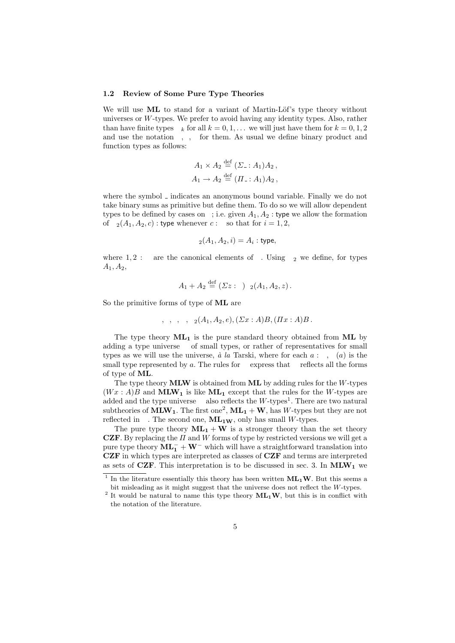#### 1.2 Review of Some Pure Type Theories

We will use ML to stand for a variant of Martin-Löf's type theory without universes or  $W$ -types. We prefer to avoid having any identity types. Also, rather than have finite types  $N_k$  for all  $k = 0, 1, \ldots$  we will just have them for  $k = 0, 1, 2$ and use the notation 0, 1, 2 for them. As usual we define binary product and function types as follows:

$$
A_1 \times A_2 \stackrel{\text{def}}{=} (\Sigma : A_1) A_2 ,
$$
  

$$
A_1 \to A_2 \stackrel{\text{def}}{=} (\Pi : A_1) A_2 ,
$$

where the symbol  $\lrcorner$  indicates an anonymous bound variable. Finally we do not take binary sums as primitive but define them. To do so we will allow dependent types to be defined by cases on 2; i.e. given  $A_1, A_2$ : type we allow the formation of  $\mathsf{R}_2(A_1, A_2, c)$ : type whenever  $c: 2$  so that for  $i = 1, 2$ ,

$$
\mathsf{R}_2(A_1, A_2, i) = A_i : \mathsf{type},
$$

where 1, 2 : 2 are the canonical elements of 2. Using  $R_2$  we define, for types  $A_1, A_2,$ 

$$
A_1 + A_2 \stackrel{\text{def}}{=} (\Sigma z : 2) R_2(A_1, A_2, z).
$$

So the primitive forms of type of ML are

$$
0, 1, 2, N, R_2(A_1, A_2, e), (\Sigma x : A)B, (\Pi x : A)B.
$$

The type theory  $ML_1$  is the pure standard theory obtained from  $ML$  by adding a type universe U of small types, or rather of representatives for small types as we will use the universe,  $\dot{a}$  la Tarski, where for each  $a : U, T(a)$  is the small type represented by a. The rules for  **express that**  $**U**$  **reflects all the forms** of type of ML.

The type theory **MLW** is obtained from **ML** by adding rules for the  $W$ -types  $(Wx : A)B$  and MLW<sub>1</sub> is like ML<sub>1</sub> except that the rules for the W-types are added and the type universe  **also reflects the**  $W$ **-types<sup>1</sup>. There are two natural** subtheories of  $\text{MLW}_1$ . The first one<sup>2</sup>,  $\text{ML}_1 + \text{W}$ , has W-types but they are not reflected in  $\mathsf{U}$ . The second one,  $\mathbf{ML_{1W}}$ , only has small W-types.

The pure type theory  $ML_1 + W$  is a stronger theory than the set theory CZF. By replacing the  $\Pi$  and  $W$  forms of type by restricted versions we will get a pure type theory  $\mathbf{ML}_1^- + \mathbf{W}^-$  which will have a straightforward translation into CZF in which types are interpreted as classes of CZF and terms are interpreted as sets of CZF. This interpretation is to be discussed in sec. 3. In  $MLW_1$  we

<sup>&</sup>lt;sup>1</sup> In the literature essentially this theory has been written  $ML_1W$ . But this seems a bit misleading as it might suggest that the universe does not reflect the W-types.

<sup>&</sup>lt;sup>2</sup> It would be natural to name this type theory  $ML_1W$ , but this is in conflict with the notation of the literature.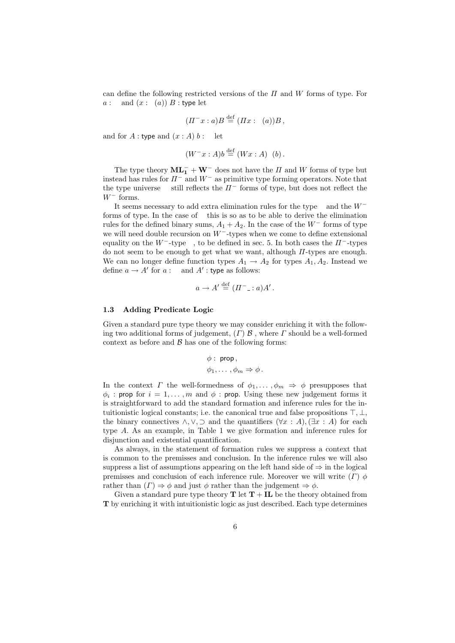can define the following restricted versions of the  $\Pi$  and  $W$  forms of type. For  $a: \mathsf{U}$  and  $(x: \mathsf{T}(a))$  B : type let

$$
(H^-x:a)B \stackrel{\text{def}}{=} (Hx:\mathsf{T}(a))B,
$$

and for  $A:$  type and  $(x:A)$   $b:$  U let

$$
(W^-x:A)b \stackrel{\text{def}}{=} (Wx:A)\mathsf{T}(b).
$$

The type theory  $\mathbf{ML}_1^- + \mathbf{W}^-$  does not have the  $\Pi$  and  $W$  forms of type but instead has rules for  $\Pi^-$  and  $W^-$  as primitive type forming operators. Note that the type universe U still reflects the  $\Pi^-$  forms of type, but does not reflect the  $W^-$  forms.

It seems necessary to add extra elimination rules for the type 2 and the W<sup>−</sup> forms of type. In the case of 2 this is so as to be able to derive the elimination rules for the defined binary sums,  $A_1 + A_2$ . In the case of the W<sup>−</sup> forms of type we will need double recursion on W<sup>−</sup>-types when we come to define extensional equality on the W<sup>--</sup>type V, to be defined in sec. 5. In both cases the  $\Pi^-$ -types do not seem to be enough to get what we want, although  $\Pi$ -types are enough. We can no longer define function types  $A_1 \rightarrow A_2$  for types  $A_1, A_2$ . Instead we define  $a \to A'$  for  $a : \mathsf{U}$  and  $A'$ : type as follows:

$$
a \to A' \stackrel{\text{def}}{=} (I\!I^- \_ : a)A' \, .
$$

# 1.3 Adding Predicate Logic

Given a standard pure type theory we may consider enriching it with the following two additional forms of judgement,  $(\Gamma)$   $\beta$ , where  $\Gamma$  should be a well-formed context as before and  $\beta$  has one of the following forms:

$$
\begin{aligned}\n\phi: \text{ prop}, \\
\phi_1, \dots, \phi_m &\Rightarrow \phi.\n\end{aligned}
$$

In the context  $\Gamma$  the well-formedness of  $\phi_1, \ldots, \phi_m \Rightarrow \phi$  presupposes that  $\phi_i$ : prop for  $i = 1, ..., m$  and  $\phi$ : prop. Using these new judgement forms it is straightforward to add the standard formation and inference rules for the intuitionistic logical constants; i.e. the canonical true and false propositions  $\top, \bot$ , the binary connectives  $\land, \lor, \supset$  and the quantifiers  $(\forall x : A), (\exists x : A)$  for each type A. As an example, in Table 1 we give formation and inference rules for disjunction and existential quantification.

As always, in the statement of formation rules we suppress a context that is common to the premisses and conclusion. In the inference rules we will also suppress a list of assumptions appearing on the left hand side of  $\Rightarrow$  in the logical premisses and conclusion of each inference rule. Moreover we will write  $(\Gamma) \phi$ rather than  $(\Gamma) \Rightarrow \phi$  and just  $\phi$  rather than the judgement  $\Rightarrow \phi$ .

Given a standard pure type theory  $T$  let  $T + IL$  be the theory obtained from T by enriching it with intuitionistic logic as just described. Each type determines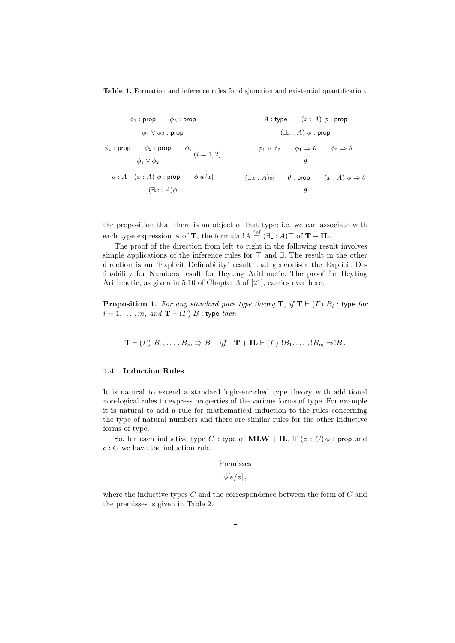Table 1. Formation and inference rules for disjunction and existential quantification.

$$
\begin{array}{cc}\n\phi_1: \text{prop} & \phi_2: \text{prop} \\
\hline\n\phi_1 \vee \phi_2: \text{prop} & \mathcal{A}: \text{type} & (x:A) \phi: \text{prop} \\
\phi_1: \text{prop} & \phi_2: \text{prop} & \phi_i \\
\hline\n\phi_1 \vee \phi_2 & \text{prop} & \phi_i \\
\hline\n\phi_1 \vee \phi_2 & (i = 1, 2) & \mathcal{A}: \forall \phi_2 \neq 0 \\
\hline\n\phi_1 \vee \phi_2 & \phi_1 \Rightarrow \theta \Rightarrow \phi_2 \Rightarrow \theta \\
\hline\n\phi_1 \vee \phi_2 & \text{prop} & \phi_1 \vee \phi_2 & \phi_1 \Rightarrow \theta \Rightarrow \theta \\
\hline\n\phi_1 \vee \phi_2 & \text{prop} & \mathcal{A}: \mathcal{A} \Rightarrow \theta \Rightarrow \phi_1 \wedge \phi_2 \Rightarrow \theta \\
\hline\n\phi_1 \vee \phi_2 & \text{prop} & \phi_1 \vee \phi_2 & \text{prop} & (x:A) \phi \Rightarrow \theta \\
\hline\n\phi_1 \vee \phi_2 & \text{prop} & \phi_1 \vee \phi_2 & \text{prop} & (x:A) \phi \Rightarrow \theta\n\end{array}
$$

the proposition that there is an object of that type; i.e. we can associate with each type expression A of **T**, the formula  $A \stackrel{\text{def}}{=} (\exists \cdot : A) \top$  of **T** + **IL**.

The proof of the direction from left to right in the following result involves simple applications of the inference rules for  $\top$  and  $\exists$ . The result in the other direction is an 'Explicit Definability' result that generalises the Explicit Definability for Numbers result for Heyting Arithmetic. The proof for Heyting Arithmetic, as given in 5.10 of Chapter 3 of [21], carries over here.

**Proposition 1.** For any standard pure type theory  $\mathbf{T}$ , if  $\mathbf{T} \vdash (T) B_i$ : type for  $i = 1, \ldots, m$ , and  $\mathbf{T} \vdash (\Gamma) B$  : type then

$$
\mathbf{T} \vdash (\Gamma) B_1, \ldots, B_m \Rrightarrow B \quad \text{iff} \quad \mathbf{T} + \mathbf{IL} \vdash (\Gamma) B_1, \ldots, B_m \Rightarrow B.
$$

# 1.4 Induction Rules

It is natural to extend a standard logic-enriched type theory with additional non-logical rules to express properties of the various forms of type. For example it is natural to add a rule for mathematical induction to the rules concerning the type of natural numbers and there are similar rules for the other inductive forms of type.

So, for each inductive type C : type of MLW + IL, if  $(z : C) \phi$  : prop and  $e: C$  we have the induction rule

$$
\frac{\text{Premisses}}{\phi[e/z]},
$$

where the inductive types  $C$  and the correspondence between the form of  $C$  and the premisses is given in Table 2.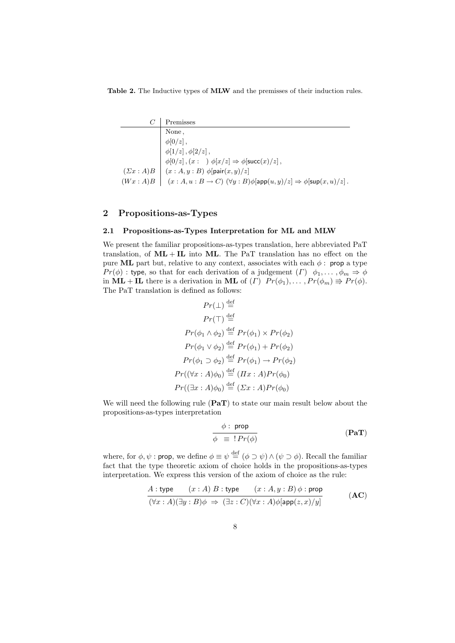Table 2. The Inductive types of MLW and the premisses of their induction rules.

|   | Premisses                                                                                                     |
|---|---------------------------------------------------------------------------------------------------------------|
| 0 | None,                                                                                                         |
|   |                                                                                                               |
|   | 1 $\phi[0/z],$<br>2 $\phi[1/z], \phi[2/z],$                                                                   |
|   | N $\phi[0/z]$ , $(x : N)$ $\phi[x/z] \Rightarrow \phi[\text{succ}(x)/z]$ ,                                    |
|   | $(\Sigma x : A)B$ $(x : A, y : B)$ $\phi$ [pair $(x, y)/z$ ]                                                  |
|   | $(Wx:A)B$ $(x:A, u:B \to C)$ $(\forall y:B)\phi[\mathsf{app}(u,y)/z] \Rightarrow \phi[\mathsf{sup}(x,u)/z]$ . |

# 2 Propositions-as-Types

### 2.1 Propositions-as-Types Interpretation for ML and MLW

We present the familiar propositions-as-types translation, here abbreviated PaT translation, of  $ML + IL$  into  $ML$ . The PaT translation has no effect on the pure ML part but, relative to any context, associates with each  $\phi$ : prop a type  $Pr(\phi)$ : type, so that for each derivation of a judgement  $(\Gamma)$   $\phi_1, \ldots, \phi_m \Rightarrow \phi$ in  $\textbf{ML} + \textbf{IL}$  there is a derivation in  $\textbf{ML}$  of  $(\Gamma)$   $Pr(\phi_1), \ldots, Pr(\phi_m) \Rightarrow Pr(\phi)$ . The PaT translation is defined as follows:

$$
Pr(\bot) \stackrel{\text{def}}{=} 0
$$
  
\n
$$
Pr(\top) \stackrel{\text{def}}{=} 1
$$
  
\n
$$
Pr(\phi_1 \land \phi_2) \stackrel{\text{def}}{=} Pr(\phi_1) \times Pr(\phi_2)
$$
  
\n
$$
Pr(\phi_1 \lor \phi_2) \stackrel{\text{def}}{=} Pr(\phi_1) + Pr(\phi_2)
$$
  
\n
$$
Pr(\phi_1 \supset \phi_2) \stackrel{\text{def}}{=} Pr(\phi_1) \to Pr(\phi_2)
$$
  
\n
$$
Pr((\forall x : A) \phi_0) \stackrel{\text{def}}{=} (Ix : A)Pr(\phi_0)
$$
  
\n
$$
Pr((\exists x : A) \phi_0) \stackrel{\text{def}}{=} (\Sigma x : A)Pr(\phi_0)
$$

We will need the following rule  $(Par)$  to state our main result below about the propositions-as-types interpretation

$$
\frac{\phi : \text{ prop}}{\phi = ! Pr(\phi)}
$$
 (PaT)

where, for  $\phi, \psi$ : prop, we define  $\phi \equiv \psi \stackrel{\text{def}}{=} (\phi \supset \psi) \wedge (\psi \supset \phi)$ . Recall the familiar fact that the type theoretic axiom of choice holds in the propositions-as-types interpretation. We express this version of the axiom of choice as the rule:

$$
\frac{A: \text{type} \quad (x:A) \ B: \text{type} \quad (x:A,y:B) \phi: \text{prop}}{(\forall x:A)(\exists y:B)\phi \Rightarrow (\exists z:C)(\forall x:A)\phi[\text{app}(z,x)/y]} \tag{AC}
$$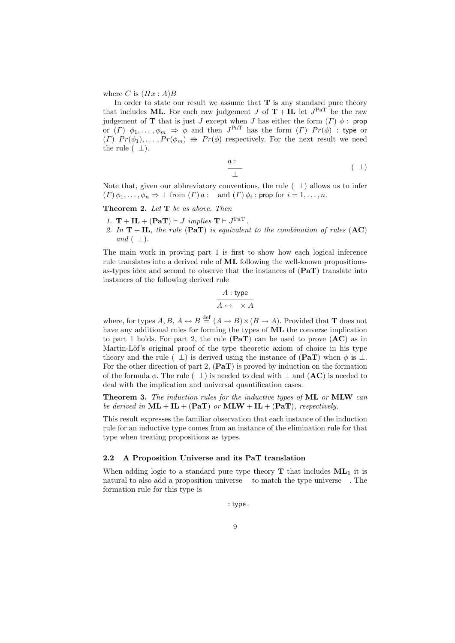where C is  $(\Pi x : A)B$ 

In order to state our result we assume that  $T$  is any standard pure theory that includes ML. For each raw judgement  $J$  of  $T + IL$  let  $J<sup>PaT</sup>$  be the raw judgement of **T** that is just J except when J has either the form  $(\Gamma) \phi$ : prop or  $(\Gamma)$   $\phi_1, \ldots, \phi_m \Rightarrow \phi$  and then  $J^{PaT}$  has the form  $(\Gamma)$   $Pr(\phi)$  : type or  $(\Gamma)$   $Pr(\phi_1), \ldots, Pr(\phi_m) \Rightarrow Pr(\phi)$  respectively. For the next result we need the rule  $(0\perp)$ .

$$
\begin{array}{c}\n a:0 \\
 \perp\n \end{array}\n \tag{0\perp}
$$

Note that, given our abbreviatory conventions, the rule  $(0\perp)$  allows us to infer  $(T)\phi_1,\ldots,\phi_n \Rightarrow \bot$  from  $(T)$  a : 0 and  $(T)\phi_i$  : prop for  $i=1,\ldots,n$ .

**Theorem 2.** Let  $T$  be as above. Then

- 1.  $\mathbf{T} + \mathbf{IL} + (\mathbf{PaT}) \vdash J \implies \mathbf{T} \vdash J^{\text{PaT}}$ .
- 2. In  $T + IL$ , the rule (PaT) is equivalent to the combination of rules (AC) and  $(0\perp)$ .

The main work in proving part 1 is first to show how each logical inference rule translates into a derived rule of ML following the well-known propositionsas-types idea and second to observe that the instances of  $(PaT)$  translate into instances of the following derived rule

$$
\cfrac{A:\text{type}}{A\leftrightarrow 1\times A}
$$

where, for types  $A, B, A \leftrightarrow B \stackrel{\text{def}}{=} (A \to B) \times (B \to A)$ . Provided that **T** does not have any additional rules for forming the types of ML the converse implication to part 1 holds. For part 2, the rule  $(PaT)$  can be used to prove  $(AC)$  as in Martin-Löf's original proof of the type theoretic axiom of choice in his type theory and the rule  $(0\perp)$  is derived using the instance of  $(PaT)$  when  $\phi$  is  $\perp$ . For the other direction of part 2,  $(\mathbf{PaT})$  is proved by induction on the formation of the formula  $\phi$ . The rule  $(0\perp)$  is needed to deal with  $\perp$  and  $(AC)$  is needed to deal with the implication and universal quantification cases.

Theorem 3. The induction rules for the inductive types of ML or MLW can be derived in  $ML + IL + (PaT)$  or  $MLW + IL + (PaT)$ , respectively.

This result expresses the familiar observation that each instance of the induction rule for an inductive type comes from an instance of the elimination rule for that type when treating propositions as types.

# 2.2 A Proposition Universe and its PaT translation

When adding logic to a standard pure type theory  $T$  that includes  $ML_1$  it is natural to also add a proposition universe P to match the type universe U. The formation rule for this type is

P : type .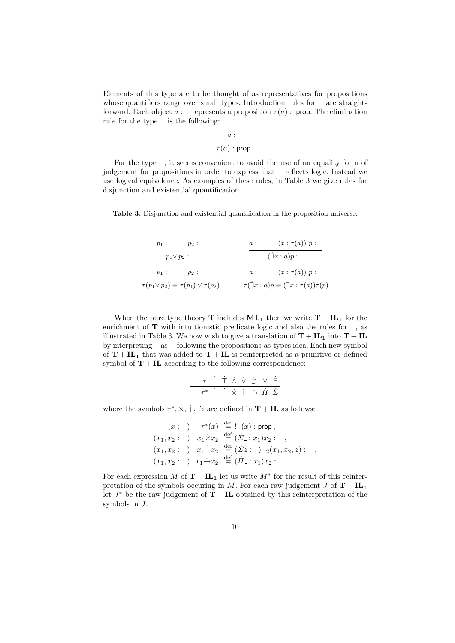Elements of this type are to be thought of as representatives for propositions whose quantifiers range over small types. Introduction rules for **P** are straightforward. Each object  $a : \mathsf{P}$  represents a proposition  $\tau(a) : \mathsf{prop}$ . The elimination rule for the type  $P$  is the following:

$$
\frac{a : \mathsf{P}}{\tau(a) : \mathsf{prop}}
$$

For the type P, it seems convenient to avoid the use of an equality form of judgement for propositions in order to express that P reflects logic. Instead we use logical equivalence. As examples of these rules, in Table 3 we give rules for disjunction and existential quantification.

Table 3. Disjunction and existential quantification in the proposition universe.

$$
\begin{array}{c}\np_1: \mathsf{P} \quad p_2: \mathsf{P} \quad a: \mathsf{U} \quad (x: \tau(a)) \ p: \mathsf{P} \quad \text{(a)} \quad p: \mathsf{P} \quad \text{(b)} \quad p_1: \mathsf{P} \quad p_2: \mathsf{P} \quad \text{(c)} \quad (x: \tau(a)) \ p: \mathsf{P} \quad \text{(d)} \quad (x: \tau(a)) \ p: \mathsf{P} \quad \text{(e)} \quad \text{(f)} \quad (x: \tau(a)) \ p: \mathsf{P} \quad \text{(g)} \quad \text{(h)} \quad \text{(i)} \quad (x: \tau(a)) \ p: \mathsf{P} \quad \text{(j)} \quad \text{(j)} \quad \text{(j)} \quad \text{(j)} \quad (x: \tau(a)) \ \text{(j)} \quad \text{(j)} \quad \text{(j)} \quad \text{(j)} \quad \text{(j)} \quad \text{(j)} \quad \text{(j)} \quad \text{(j)} \quad \text{(j)} \quad \text{(j)} \quad \text{(j)} \quad \text{(j)} \quad \text{(j)} \quad \text{(j)} \quad \text{(j)} \quad \text{(j)} \quad \text{(j)} \quad \text{(j)} \quad \text{(j)} \quad \text{(j)} \quad \text{(j)} \quad \text{(j)} \quad \text{(j)} \quad \text{(j)} \quad \text{(j)} \quad \text{(j)} \quad \text{(j)} \quad \text{(j)} \quad \text{(j)} \quad \text{(j)} \quad \text{(j)} \quad \text{(j)} \quad \text{(j)} \quad \text{(j)} \quad \text{(j)} \quad \text{(j)} \quad \text{(j)} \quad \text{(j)} \quad \text{(j)} \quad \text{(j)} \quad \text{(j)} \quad \text{(j)} \quad \text{(j)} \quad \text{(j)} \quad \text{(j)} \quad \text{(j)} \quad \text{(j)} \quad \text{(j)} \quad \text{(j)} \quad \text{(j)} \quad \text{(j)} \quad \text{(j)} \quad \text{(j)} \quad \text{(j)} \quad \text{(j)} \quad \text{(j)} \quad \text{(j)} \quad \text{(j)} \quad \text{(j)} \quad \text{(j)} \quad \text{(j)} \quad \text{(j)} \quad \text{(j)} \quad \text{(j)} \quad \text{(j)} \quad \text{(j)} \quad \text{(j)} \quad \text{(j)} \quad \text{(j)} \quad \text{(j)} \quad \text{(j)} \
$$

When the pure type theory **T** includes  $ML_1$  then we write  $T + IL_1$  for the enrichment of  $T$  with intuitionistic predicate logic and also the rules for  $P$ , as illustrated in Table 3. We now wish to give a translation of  $T + IL_1$  into  $T + IL$ by interpreting P as U following the propositions-as-types idea. Each new symbol of  $T + IL<sub>1</sub>$  that was added to  $T + IL$  is reinterpreted as a primitive or defined symbol of  $T + IL$  according to the following correspondence:

$$
\frac{\mathsf{P} \ \tau \ \dot{\bot} \ \dot{\top} \ \dot{\wedge} \ \dot{\vee} \ \dot{\supset} \ \dot{\forall} \ \dot{\exists}}{\mathsf{U} \ \tau^* \ \dot{\mathsf{0}} \ \dot{\mathsf{1}} \ \dot{\times} \ \dot{+} \ \dot{\rightarrow} \ \dot{\mathsf{II}} \ \dot{\Sigma}}
$$

where the symbols  $\tau^*, \dot{\times}, \dot{+}, \dot{\to}$  are defined in  $\mathbf{T} + \mathbf{IL}$  as follows:

$$
(x : U) \quad \tau^*(x) \stackrel{\text{def}}{=} T(x) : \text{prop},
$$
  
\n
$$
(x_1, x_2 : U) \quad x_1 \dot{\times} x_2 \stackrel{\text{def}}{=} (\dot{\Sigma} - x_1) x_2 : U,
$$
  
\n
$$
(x_1, x_2 : U) \quad x_1 \dot{+} x_2 \stackrel{\text{def}}{=} (\dot{\Sigma} z : \dot{2}) R_2(x_1, x_2, z) : U,
$$
  
\n
$$
(x_1, x_2 : U) \quad x_1 \dot{+} x_2 \stackrel{\text{def}}{=} (\dot{\Pi} - x_1) x_2 : U.
$$

For each expression M of  $\mathbf{T} + \mathbf{IL}_1$  let us write  $M^*$  for the result of this reinterpretation of the symbols occuring in M. For each raw judgement J of  $T + IL_1$ let  $J^*$  be the raw judgement of  $\overline{T} + IL$  obtained by this reinterpretation of the symbols in J.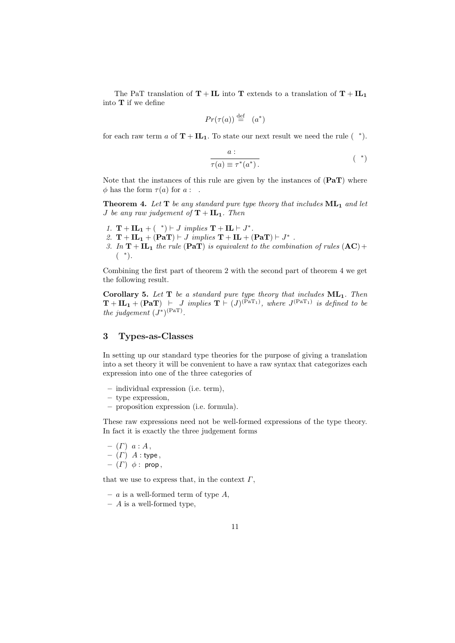The PaT translation of  $T + IL$  into T extends to a translation of  $T + IL<sub>1</sub>$ into T if we define

$$
Pr(\tau(a)) \stackrel{\text{def}}{=} \mathsf{T}(a^*)
$$

for each raw term a of  $T + IL_1$ . To state our next result we need the rule  $(P^*)$ .

$$
\frac{a : \mathsf{P}}{\tau(a) \equiv \tau^*(a^*)}.
$$
 (P\*)

Note that the instances of this rule are given by the instances of  $(PaT)$  where  $\phi$  has the form  $\tau(a)$  for  $a : P$ .

**Theorem 4.** Let  $T$  be any standard pure type theory that includes  $ML_1$  and let *J* be any raw judgement of  $T + IL_1$ . Then

- 1.  $\mathbf{T} + \mathbf{IL}_1 + (\mathbf{P}^*) \vdash J \implies \mathbf{T} + \mathbf{IL} \vdash J^*$ .
- 2.  $\mathbf{T} + \mathbf{IL}_1 + (\mathbf{PaT}) \vdash J$  implies  $\mathbf{T} + \mathbf{IL} + (\mathbf{PaT}) \vdash J^*$ .
- 3. In  $T + IL_1$  the rule (PaT) is equivalent to the combination of rules  $(AC) +$  $(P^*)$ .

Combining the first part of theorem 2 with the second part of theorem 4 we get the following result.

Corollary 5. Let  $T$  be a standard pure type theory that includes  $ML_1$ . Then  $\mathbf{T} + \mathbf{IL_1} + (\mathbf{PaT}) + J$  implies  $\mathbf{T} \vdash (J)^{(\overline{PaT_1})}$ , where  $J^{(\overline{PaT_1})}$  is defined to be the judgement  $(J^*)^{\text{(PaT)}}$ .

# 3 Types-as-Classes

In setting up our standard type theories for the purpose of giving a translation into a set theory it will be convenient to have a raw syntax that categorizes each expression into one of the three categories of

- individual expression (i.e. term),
- type expression,
- proposition expression (i.e. formula).

These raw expressions need not be well-formed expressions of the type theory. In fact it is exactly the three judgement forms

$$
- (T) a : A,
$$
  
- (T) A : type,  
- (T)  $\phi$  : prop,

that we use to express that, in the context  $\Gamma$ ,

- a is a well-formed term of type  $A$ ,
- $-$  A is a well-formed type,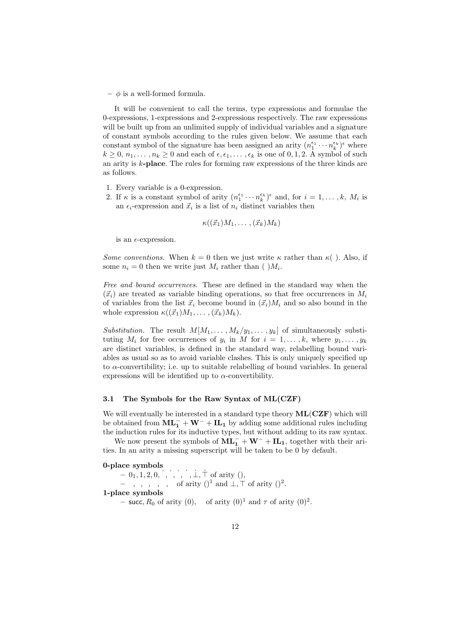$\phi$  is a well-formed formula.

It will be convenient to call the terms, type expressions and formulae the 0-expressions, 1-expressions and 2-expressions respectively. The raw expressions will be built up from an unlimited supply of individual variables and a signature of constant symbols according to the rules given below. We assume that each constant symbol of the signature has been assigned an arity  $(n_1^{\epsilon_1} \cdots n_k^{\epsilon_k})^{\epsilon}$  where  $k \geq 0, n_1, \ldots, n_k \geq 0$  and each of  $\epsilon, \epsilon_1, \ldots, \epsilon_k$  is one of 0, 1, 2. A symbol of such an arity is k-place. The rules for forming raw expressions of the three kinds are as follows.

- 1. Every variable is a 0-expression.
- 2. If  $\kappa$  is a constant symbol of arity  $(n_1^{\epsilon_1} \cdots n_k^{\epsilon_k})^{\epsilon}$  and, for  $i = 1, \ldots, k, M_i$  is an  $\epsilon_i$ -expression and  $\vec{x}_i$  is a list of  $n_i$  distinct variables then

$$
\kappa((\vec{x}_1)M_1,\ldots,(\vec{x}_k)M_k)
$$

is an  $\epsilon$ -expression.

Some conventions. When  $k = 0$  then we just write  $\kappa$  rather than  $\kappa$  (). Also, if some  $n_i = 0$  then we write just  $M_i$  rather than ( ) $M_i$ .

Free and bound occurrences. These are defined in the standard way when the  $(\vec{x}_i)$  are treated as variable binding operations, so that free occurrences in  $M_i$ of variables from the list  $\vec{x}_i$  become bound in  $(\vec{x}_i)M_i$  and so also bound in the whole expression  $\kappa((\vec{x}_1)M_1, \ldots, (\vec{x}_k)M_k).$ 

Substitution. The result  $M[M_1, \ldots, M_k/y_1, \ldots, y_k]$  of simultaneously substituting  $M_i$  for free occurrences of  $y_i$  in M for  $i = 1, \ldots, k$ , where  $y_1, \ldots, y_k$ are distinct variables, is defined in the standard way, relabelling bound variables as usual so as to avoid variable clashes. This is only uniquely specified up to  $\alpha$ -convertibility; i.e. up to suitable relabelling of bound variables. In general expressions will be identified up to  $\alpha$ -convertibility.

# 3.1 The Symbols for the Raw Syntax of ML(CZF)

We will eventually be interested in a standard type theory  $ML(CZF)$  which will be obtained from  $\mathbf{ML}_1^- + \mathbf{W}^- + \mathbf{LL}_1$  by adding some additional rules including the induction rules for its inductive types, but without adding to its raw syntax.

We now present the symbols of  $\overline{ML_1} + W^- + IL_1$ , together with their arities. In an arity a missing superscript will be taken to be 0 by default.

# 0-place symbols

 $-0, 1, 2, 0, 0, 1, 2, N, \perp$ ,  $\dagger$  of arity (), – 0, 1, 2, N, U, P of arity  $()^1$  and  $\bot$ ,  $\top$  of arity  $()^2$ . 1-place symbols - succ,  $R_0$  of arity (0), T of arity  $(0)^1$  and  $\tau$  of arity  $(0)^2$ .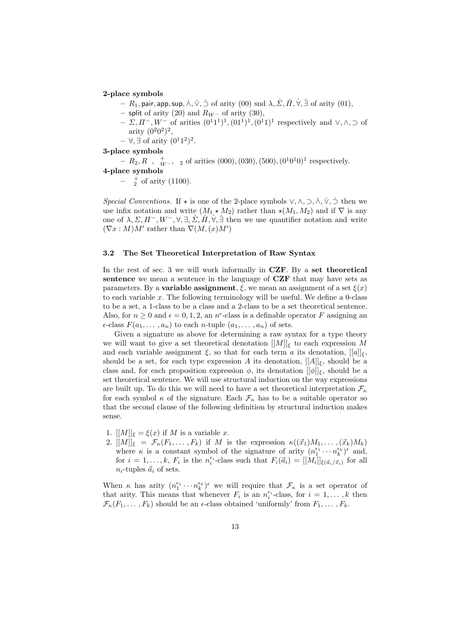#### 2-place symbols

- $R_1,$  pair, app, sup,  $\dot{\wedge}, \dot{\vee}, \dot{\supset}$  of arity  $(00)$  snd  $\lambda, \dot{\varSigma}, \dot{H}, \dot{\forall}, \dot{\exists}$  of arity  $(01),$
- split of arity (20) and  $R_{W}$  of arity (30),
- $-$  Σ, Π<sup>-</sup>, W<sup>-</sup> of arities  $(0^11^1)^1$ ,  $(0^11^1)^1$ ,  $(0^11)^1$  respectively and ∨, ∧, ⊃ of arity  $(0^2 0^2)^2$ ,

 $-$  ∀, ∃ of arity  $(0<sup>1</sup>1<sup>2</sup>)<sup>2</sup>$ .

3-place symbols

 $-R_2, R_N, \mathsf{R}_{W}^+$ ,  $\mathsf{R}_2$  of arities (000), (030), (500), (0<sup>1</sup>0<sup>1</sup>0)<sup>1</sup> respectively. 4-place symbols

 $\mathsf{R}_2^+$  of arity (1100).

Special Conventions. If  $\star$  is one of the 2-place symbols  $\vee, \wedge, \supset, \wedge, \vee, \supset$  then we use infix notation and write  $(M_1 \star M_2)$  rather than  $\star (M_1, M_2)$  and if  $\nabla$  is any one of  $\lambda, \Sigma, \Pi^-, W^-, \forall, \exists, \dot{\Sigma}, \dot{\Pi}, \dot{\forall}, \dot{\exists}$  then we use quantifier notation and write  $(\nabla x : M)M'$  rather than  $\nabla(M,(x)M')$ 

# 3.2 The Set Theoretical Interpretation of Raw Syntax

In the rest of sec. 3 we will work informally in CZF. By a set theoretical sentence we mean a sentence in the language of CZF that may have sets as parameters. By a **variable assignment**,  $\xi$ , we mean an assignment of a set  $\xi(x)$ to each variable  $x$ . The following terminology will be useful. We define a 0-class to be a set, a 1-class to be a class and a 2-class to be a set theoretical sentence. Also, for  $n \geq 0$  and  $\epsilon = 0, 1, 2$ , an  $n^{\epsilon}$ -class is a definable operator F assigning an  $\epsilon$ -class  $F(a_1, \ldots, a_n)$  to each *n*-tuple  $(a_1, \ldots, a_n)$  of sets.

Given a signature as above for determining a raw syntax for a type theory we will want to give a set theoretical denotation  $[[M]]_{\xi}$  to each expression M and each variable assignment  $\xi$ , so that for each term a its denotation,  $[[a]]_{\xi}$ , should be a set, for each type expression A its denotation,  $[[A]]_{\xi}$ , should be a class and, for each proposition expression  $\phi$ , its denotation  $[[\phi]]_{\xi}$ , should be a set theoretical sentence. We will use structural induction on the way expressions are built up. To do this we will need to have a set theoretical interpretation  $\mathcal{F}_{\kappa}$ for each symbol  $\kappa$  of the signature. Each  $\mathcal{F}_{\kappa}$  has to be a suitable operator so that the second clause of the following definition by structural induction makes sense.

- 1.  $[[M]]_{\xi} = \xi(x)$  if M is a variable x.
- 2.  $[[M]]_{\xi} = \mathcal{F}_{\kappa}(F_1,\ldots,F_k)$  if M is the expression  $\kappa((\vec{x}_1)M_1,\ldots,(\vec{x}_k)M_k)$ where  $\kappa$  is a constant symbol of the signature of arity  $(n_1^{\epsilon_1} \cdots n_k^{\epsilon_k})^{\epsilon}$  and, for  $i = 1, ..., k$ ,  $F_i$  is the  $n_i^{\epsilon_i}$ -class such that  $F_i(\vec{a}_i) = [[M_i]]_{\xi(\vec{a}_i/\vec{x}_i)}$  for all  $n_i$ -tuples  $\vec{a}_i$  of sets.

When  $\kappa$  has arity  $(n_1^{\epsilon_1} \cdots n_k^{\epsilon_k})^{\epsilon}$  we will require that  $\mathcal{F}_{\kappa}$  is a set operator of that arity. This means that whenever  $F_i$  is an  $n_i^{\epsilon_i}$ -class, for  $i = 1, ..., k$  then  $\mathcal{F}_{\kappa}(F_1,\ldots,F_k)$  should be an  $\epsilon$ -class obtained 'uniformly' from  $F_1,\ldots,F_k$ .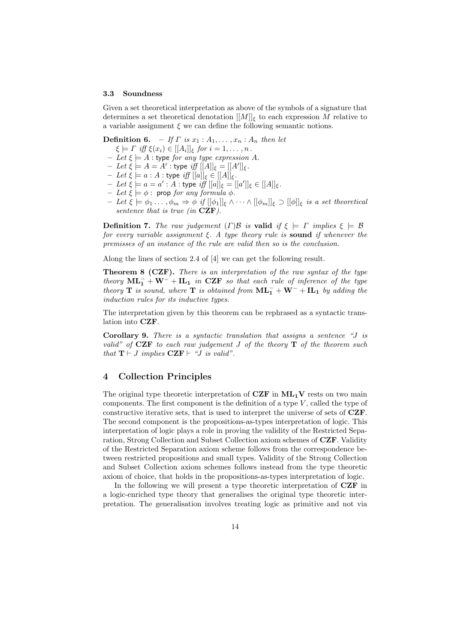#### 3.3 Soundness

Given a set theoretical interpretation as above of the symbols of a signature that determines a set theoretical denotation  $[[M]]_{\xi}$  to each expression M relative to a variable assignment  $\xi$  we can define the following semantic notions.

**Definition 6.** – If  $\Gamma$  is  $x_1 : A_1, \ldots, x_n : A_n$  then let

- $\xi \models \Gamma \text{ iff } \xi(x_i) \in [[A_i]]_{\xi} \text{ for } i = 1, \ldots, n.$
- Let  $\xi \models A$ : type for any type expression A.
- $-Iet \xi = A = A'$ : type iff  $[[A]]_{\xi} = [[A']]_{\xi}$ .
- $-Iet \xi = a : A :$  type  $iff [[a]]_{\xi} \in [[A]]_{\xi}$ .
- $-Iet \xi = a = a' : A : type \iint [a]$  $\xi = [[a']]$ <sub> $\xi \in [[A]]$ </sub>
- Let  $\xi \models \phi$ : prop for any formula  $\phi$ .
- Let  $\xi \models \phi_1 \dots, \phi_m \Rightarrow \phi \text{ if } [[\phi_1]]_{\xi} \wedge \dots \wedge [[\phi_m]]_{\xi} \supset [[\phi]]_{\xi} \text{ is a set theoretical}$ sentence that is true (in  $CZF$ ).

**Definition 7.** The raw judgement  $(\Gamma)$ B is valid if  $\xi \models \Gamma$  implies  $\xi \models \mathcal{B}$ for every variable assignment  $\xi$ . A type theory rule is **sound** if whenever the premisses of an instance of the rule are valid then so is the conclusion.

Along the lines of section 2.4 of [4] we can get the following result.

Theorem 8 (CZF). There is an interpretation of the raw syntax of the type theory  $ML_1^- + W^- + IL_1$  in CZF so that each rule of inference of the type theory **T** is sound, where **T** is obtained from  $\mathbf{ML}_1^- + \mathbf{W}^- + \mathbf{IL}_1$  by adding the induction rules for its inductive types.

The interpretation given by this theorem can be rephrased as a syntactic translation into CZF.

Corollary 9. There is a syntactic translation that assigns a sentence "J is valid" of **CZF** to each raw judgement J of the theory  $\mathbf{T}$  of the theorem such that  $\mathbf{T} \vdash J$  implies  $\mathbf{CZF} \vdash \text{``}J$  is valid".

# 4 Collection Principles

The original type theoretic interpretation of  $CZF$  in  $ML_1V$  rests on two main components. The first component is the definition of a type  $V$ , called the type of constructive iterative sets, that is used to interpret the universe of sets of CZF. The second component is the propositions-as-types interpretation of logic. This interpretation of logic plays a role in proving the validity of the Restricted Separation, Strong Collection and Subset Collection axiom schemes of CZF. Validity of the Restricted Separation axiom scheme follows from the correspondence between restricted propositions and small types. Validity of the Strong Collection and Subset Collection axiom schemes follows instead from the type theoretic axiom of choice, that holds in the propositions-as-types interpretation of logic.

In the following we will present a type theoretic interpretation of CZF in a logic-enriched type theory that generalises the original type theoretic interpretation. The generalisation involves treating logic as primitive and not via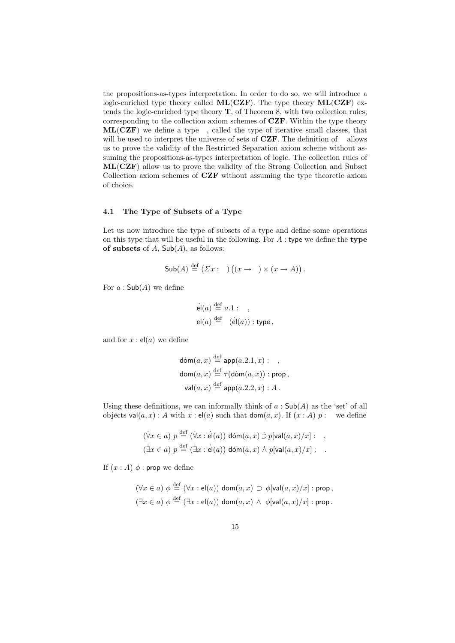the propositions-as-types interpretation. In order to do so, we will introduce a logic-enriched type theory called  $ML(CZF)$ . The type theory  $ML(CZF)$  extends the logic-enriched type theory T, of Theorem 8, with two collection rules, corresponding to the collection axiom schemes of CZF. Within the type theory  $ML(CZF)$  we define a type V, called the type of iterative small classes, that will be used to interpret the universe of sets of  $CZF$ . The definition of V allows us to prove the validity of the Restricted Separation axiom scheme without assuming the propositions-as-types interpretation of logic. The collection rules of ML(CZF) allow us to prove the validity of the Strong Collection and Subset Collection axiom schemes of CZF without assuming the type theoretic axiom of choice.

# 4.1 The Type of Subsets of a Type

Let us now introduce the type of subsets of a type and define some operations on this type that will be useful in the following. For  $A$ : type we define the type of subsets of  $A$ ,  $Sub(A)$ , as follows:

$$
\mathsf{Sub}(A) \stackrel{\text{def}}{=} (\Sigma x : \mathsf{U}) ((x \to \mathsf{P}) \times (x \to A)).
$$

For  $a : \mathsf{Sub}(A)$  we define

$$
\begin{aligned}\n\dot{\mathbf{e}}(a) & \stackrel{\text{def}}{=} a.1 : \mathbf{U}, \\
\mathbf{e}(a) & \stackrel{\text{def}}{=} \mathsf{T}(\dot{\mathbf{e}}(a)) : \text{type}\n\end{aligned}
$$

and for  $x : el(a)$  we define

$$
\begin{aligned}\n\mathsf{dom}(a, x) & \stackrel{\text{def}}{=} \mathsf{app}(a.2.1, x) : \mathsf{P}, \\
\mathsf{dom}(a, x) & \stackrel{\text{def}}{=} \tau(\mathsf{dom}(a, x)) : \mathsf{prop}\,, \\
\mathsf{val}(a, x) & \stackrel{\text{def}}{=} \mathsf{app}(a.2.2, x) : A\,. \n\end{aligned}
$$

Using these definitions, we can informally think of  $a : Sub(A)$  as the 'set' of all objects val $(a, x)$ : A with  $x$ : el $(a)$  such that dom $(a, x)$ . If  $(x : A)$   $p$ : P we define

$$
(\forall x \in a) p \stackrel{\text{def}}{=} (\forall x : \text{el}(a)) \text{ dom}(a, x) \supset p[\text{val}(a, x)/x] : \text{P},
$$
  

$$
(\exists x \in a) p \stackrel{\text{def}}{=} (\exists x : \text{el}(a)) \text{ dom}(a, x) \land p[\text{val}(a, x)/x] : \text{P}.
$$

If  $(x : A)$   $\phi$  : prop we define

$$
(\forall x \in a) \phi \stackrel{\text{def}}{=} (\forall x : \mathsf{el}(a)) \mathsf{dom}(a, x) \supset \phi[\mathsf{val}(a, x)/x] : \mathsf{prop},
$$
  

$$
(\exists x \in a) \phi \stackrel{\text{def}}{=} (\exists x : \mathsf{el}(a)) \mathsf{dom}(a, x) \land \phi[\mathsf{val}(a, x)/x] : \mathsf{prop}.
$$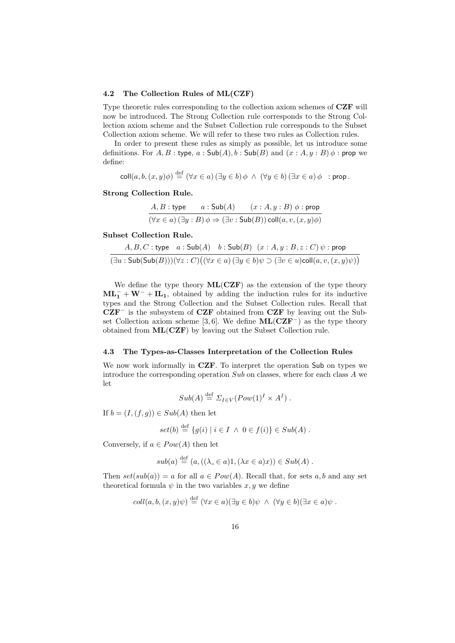### 4.2 The Collection Rules of ML(CZF)

Type theoretic rules corresponding to the collection axiom schemes of CZF will now be introduced. The Strong Collection rule corresponds to the Strong Collection axiom scheme and the Subset Collection rule corresponds to the Subset Collection axiom scheme. We will refer to these two rules as Collection rules.

In order to present these rules as simply as possible, let us introduce some definitions. For  $A, B$ : type,  $a : Sub(A), b : Sub(B)$  and  $(x : A, y : B)$   $\phi$ : prop we define:

$$
\text{coll}(a, b, (x, y)\phi) \stackrel{\text{def}}{=} (\forall x \in a) (\exists y \in b) \phi \ \land \ (\forall y \in b) (\exists x \in a) \phi \ : \text{prop.}
$$

# Strong Collection Rule.

$$
A, B: \text{type} \qquad a: \text{Sub}(A) \qquad (x:A, y:B) \phi: \text{prop}
$$

$$
(\forall x \in a) (\exists y:B) \phi \Rightarrow (\exists v: \text{Sub}(B)) \text{coll}(a, v, (x, y)\phi)
$$

### Subset Collection Rule.

$$
\cfrac{A,B,C:\text{type}\quad a:\text{Sub}(A)\quad b:\text{Sub}(B)\ \ (x:A,y:B,z:C)\,\psi:\text{prop}}{(\exists u:\text{Sub}(\text{Sub}(B)))(\forall z:C)\big((\forall x\in a)\ (\exists y\in b)\psi\supset (\exists v\in u)\text{coll}(a,v,(x,y)\psi)\big)}
$$

We define the type theory  $ML(CZF)$  as the extension of the type theory  $ML_1^- + W^- + IL_1$ , obtained by adding the induction rules for its inductive types and the Strong Collection and the Subset Collection rules. Recall that  $CZF^-$  is the subsystem of  $CZF$  obtained from  $CZF$  by leaving out the Subset Collection axiom scheme [3, 6]. We define  $ML(CZF^-)$  as the type theory obtained from ML(CZF) by leaving out the Subset Collection rule.

#### 4.3 The Types-as-Classes Interpretation of the Collection Rules

We now work informally in **CZF**. To interpret the operation Sub on types we introduce the corresponding operation  $Sub$  on classes, where for each class  $A$  we let

$$
Sub(A) \stackrel{\text{def}}{=} \Sigma_{I \in V} (Pow(1)^I \times A^I) .
$$

If  $b = (I,(f,g)) \in Sub(A)$  then let

$$
set(b) \stackrel{\text{def}}{=} \{g(i) \mid i \in I \ \land \ 0 \in f(i)\} \in Sub(A) .
$$

Conversely, if  $a \in Pow(A)$  then let

$$
sub(a) \stackrel{\text{def}}{=} (a, ((\lambda \in a)1, (\lambda x \in a)x)) \in Sub(A) .
$$

Then  $set(sub(a)) = a$  for all  $a \in Pow(A)$ . Recall that, for sets a, b and any set theoretical formula  $\psi$  in the two variables x, y we define

$$
coll(a, b, (x, y)\psi) \stackrel{\text{def}}{=} (\forall x \in a)(\exists y \in b)\psi \ \land \ (\forall y \in b)(\exists x \in a)\psi \ .
$$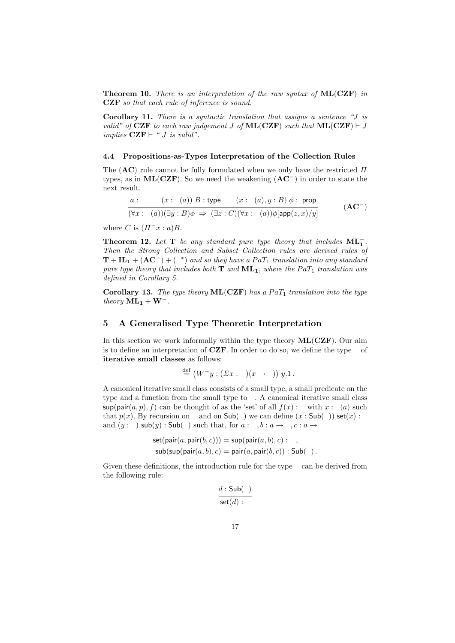**Theorem 10.** There is an interpretation of the raw syntax of  $ML(CZF)$  in CZF so that each rule of inference is sound.

Corollary 11. There is a syntactic translation that assigns a sentence "J is valid" of CZF to each raw judgement J of  $ML(CZF)$  such that  $ML(CZF) \vdash J$ implies  $CZF \vdash "J \; is \; valid".$ 

### 4.4 Propositions-as-Types Interpretation of the Collection Rules

The  $(AC)$  rule cannot be fully formulated when we only have the restricted  $\Pi$ types, as in  $ML(CZF)$ . So we need the weakening  $(AC^-)$  in order to state the next result.

$$
\frac{a: \mathsf{U} \qquad (x: \mathsf{T}(a)) \ B: \mathsf{type} \qquad (x: \mathsf{T}(a), y: B) \ \phi: \ \mathsf{prop}}{(\forall x: \mathsf{T}(a)) (\exists y: B) \phi \ \Rightarrow \ (\exists z: C) (\forall x: \mathsf{T}(a)) \phi[\mathsf{app}(z, x) / y]} \tag{AC^-}
$$

where C is  $(\Pi^{-}x : a)B$ .

Theorem 12. Let T be any standard pure type theory that includes  $ML_1^-$ . Then the Strong Collection and Subset Collection rules are derived rules of  $T + IL_1 + (AC^-) + (P^*)$  and so they have a  $PaT_1$  translation into any standard pure type theory that includes both  $T$  and  $ML_1$ , where the  $PaT_1$  translation was defined in Corollary 5.

Corollary 13. The type theory  $ML(CZF)$  has a PaT<sub>1</sub> translation into the type theory  $ML_1 + W^-$ .

# 5 A Generalised Type Theoretic Interpretation

In this section we work informally within the type theory  $ML(CZF)$ . Our aim is to define an interpretation of CZF. In order to do so, we define the type V of iterative small classes as follows:

$$
\mathsf{V} \stackrel{\text{def}}{=} (W^- y : (\Sigma x : \mathsf{U})(x \to \mathsf{P})) y.1.
$$

A canonical iterative small class consists of a small type, a small predicate on the type and a function from the small type to V. A canonical iterative small class  $\sup(\text{pair}(a, p), f)$  can be thought of as the 'set' of all  $f(x)$ : V with  $x : T(a)$  such that  $p(x)$ . By recursion on V and on  $\mathsf{Sub}(\mathsf{V})$  we can define  $(x : \mathsf{Sub}(\mathsf{V}))$  set $(x) : \mathsf{V}$ and  $(y : V)$  sub $(y)$ : Sub $(V)$  such that, for  $a : U, b : a \rightarrow P, c : a \rightarrow V$ 

$$
set(\text{pair}(a, \text{pair}(b, c))) = \text{sup}(\text{pair}(a, b), c) : V,
$$
  

$$
sub(\text{sup}(\text{pair}(a, b), c)) = \text{pair}(a, \text{pair}(b, c)) : Sub(V).
$$

Given these definitions, the introduction rule for the type V can be derived from the following rule:

$$
\frac{d:\mathsf{Sub}(\mathsf{V})}{\mathsf{set}(d):\mathsf{V}}
$$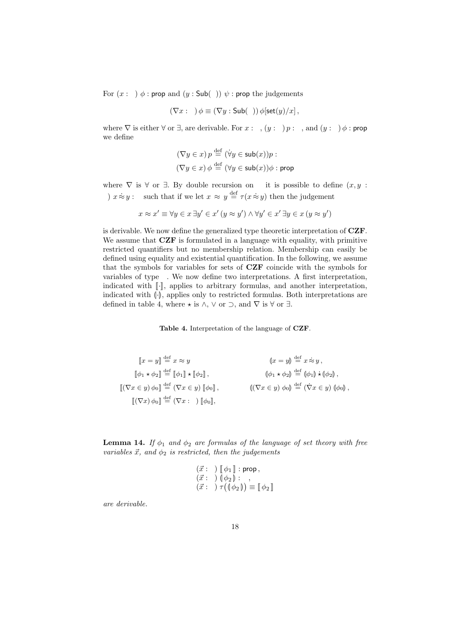For  $(x : V)$   $\phi$ : prop and  $(y : Sub(V))$   $\psi$ : prop the judgements

$$
(\nabla x : \mathsf{V}) \phi \equiv (\nabla y : \mathsf{Sub}(\mathsf{V})) \phi[\mathsf{set}(y)/x],
$$

where  $\nabla$  is either  $\forall$  or  $\exists$ , are derivable. For  $x : V$ ,  $(y : V)$   $p : P$ , and  $(y : V)$   $\phi$  : prop we define

$$
(\nabla y \in x) p \stackrel{\text{def}}{=} (\forall y \in \mathsf{sub}(x))p : \mathsf{P}
$$

$$
(\nabla y \in x) \phi \stackrel{\text{def}}{=} (\forall y \in \mathsf{sub}(x))\phi : \mathsf{prop}
$$

where  $\nabla$  is  $\forall$  or  $\exists$ . By double recursion on V it is possible to define  $(x, y, z)$ V)  $x \approx y$ : **P** such that if we let  $x \approx y \stackrel{\text{def}}{=} \tau(x \approx y)$  then the judgement

$$
x \approx x' \equiv \forall y \in x \exists y' \in x' \ (y \approx y') \land \forall y' \in x' \exists y \in x \ (y \approx y')
$$

is derivable. We now define the generalized type theoretic interpretation of CZF. We assume that **CZF** is formulated in a language with equality, with primitive restricted quantifiers but no membership relation. Membership can easily be defined using equality and existential quantification. In the following, we assume that the symbols for variables for sets of CZF coincide with the symbols for variables of type V. We now define two interpretations. A first interpretation, indicated with  $\lbrack\! \lbrack \cdot \rbrack\! \rbrack$ , applies to arbitrary formulas, and another interpretation, indicated with  $\langle \cdot \rangle$ , applies only to restricted formulas. Both interpretations are defined in table 4, where  $\star$  is  $\wedge$ ,  $\vee$  or  $\supset$ , and  $\nabla$  is  $\forall$  or  $\exists$ .

Table 4. Interpretation of the language of CZF.

$$
\begin{aligned}\n\llbracket x = y \rrbracket & \stackrel{\text{def}}{=} x \approx y & \qquad \qquad \llbracket x = y \rrbracket \stackrel{\text{def}}{=} x \approx y, \\
\llbracket \phi_1 \star \phi_2 \rrbracket & \stackrel{\text{def}}{=} \llbracket \phi_1 \rrbracket \star \llbracket \phi_2 \rrbracket, & \qquad \qquad \llbracket \phi_1 \star \phi_2 \rrbracket \stackrel{\text{def}}{=} \llbracket \phi_1 \rrbracket \star \llbracket \phi_2 \rrbracket, \\
\llbracket (\nabla x \in y) \phi_0 \rrbracket & \stackrel{\text{def}}{=} (\nabla x \in y) \llbracket \phi_0 \rrbracket, & \qquad \qquad \llbracket (\nabla x \in y) \phi_0 \rrbracket \stackrel{\text{def}}{=} (\nabla x \in y) \llbracket \phi_0 \rrbracket, \\
\llbracket (\nabla x) \phi_0 \rrbracket & \stackrel{\text{def}}{=} (\nabla x : \mathsf{V}) \llbracket \phi_0 \rrbracket,\n\end{aligned}
$$

**Lemma 14.** If  $\phi_1$  and  $\phi_2$  are formulas of the language of set theory with free variables  $\vec{x}$ , and  $\phi_2$  is restricted, then the judgements

$$
\begin{array}{l}\n(\vec{x} : \mathsf{V}) \; [\![\phi_1]\!] : \mathsf{prop}\,, \\
(\vec{x} : \mathsf{V}) \; (\phi_2 \!] : \mathsf{P}\,, \\
(\vec{x} : \mathsf{V}) \; \tau ((\phi_2 \!]) \equiv [\![\phi_2]\!] \end{array}
$$

are derivable.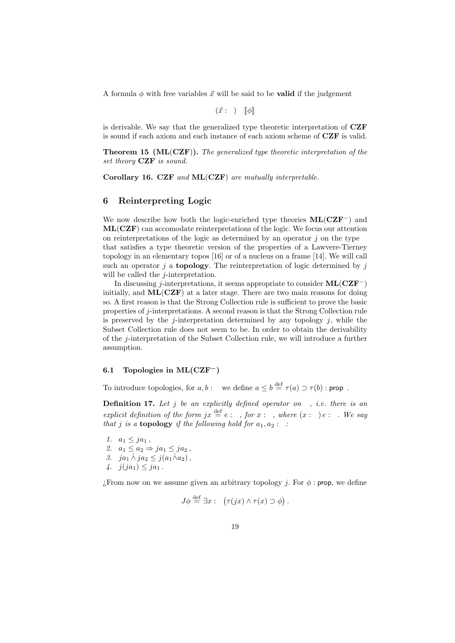A formula  $\phi$  with free variables  $\vec{x}$  will be said to be **valid** if the judgement

 $({\vec x} : V)$   $\lbrack \! \lbrack \phi \rbrack \! \rbrack$ 

is derivable. We say that the generalized type theoretic interpretation of CZF is sound if each axiom and each instance of each axiom scheme of CZF is valid.

**Theorem 15 (ML(CZF)).** The generalized type theoretic interpretation of the set theory **CZF** is sound.

Corollary 16. CZF and ML(CZF) are mutually interpretable.

# 6 Reinterpreting Logic

We now describe how both the logic-enriched type theories  $ML(CZF<sup>-</sup>)$  and ML(CZF) can accomodate reinterpretations of the logic. We focus our attention on reinterpretations of the logic as determined by an operator  $j$  on the type  $P$ that satisfies a type theoretic version of the properties of a Lawvere-Tierney topology in an elementary topos [16] or of a nucleus on a frame [14]. We will call such an operator j a **topology**. The reinterpretation of logic determined by j will be called the  $j$ -interpretation.

In discussing j-interpretations, it seems appropriate to consider  $ML(CZF<sup>-</sup>)$ initially, and  $ML(CZF)$  at a later stage. There are two main reasons for doing so. A first reason is that the Strong Collection rule is sufficient to prove the basic properties of j-interpretations. A second reason is that the Strong Collection rule is preserved by the j-interpretation determined by any topology  $j$ , while the Subset Collection rule does not seem to be. In order to obtain the derivability of the j-interpretation of the Subset Collection rule, we will introduce a further assumption.

# 6.1 Topologies in ML(CZF<sup>−</sup>)

To introduce topologies, for  $a, b : \mathsf{P}$  we define  $a \leq b \stackrel{\text{def}}{=} \tau(a) \supset \tau(b) : \text{prop}$ .

**Definition 17.** Let  $j$  be an explicitly defined operator on  $P$ , *i.e.* there is an explicit definition of the form  $jx \stackrel{\text{def}}{=} e : P$ , for  $x : P$ , where  $(x : P) e : P$ . We say that j is a **topology** if the following hold for  $a_1, a_2$ : P:

1.  $a_1 < ja_1$ , 2.  $a_1 \leq a_2 \Rightarrow ja_1 \leq ja_2$ , 3.  $ja_1 \wedge ja_2 \leq j(a_1 \wedge a_2),$ 4.  $j(ja_1) \leq ja_1$ .

; From now on we assume given an arbitrary topology j. For  $\phi$ : prop, we define

$$
J\phi \stackrel{\text{def}}{=} \exists x : \mathsf{P}(\tau(jx) \land \tau(x) \supset \phi).
$$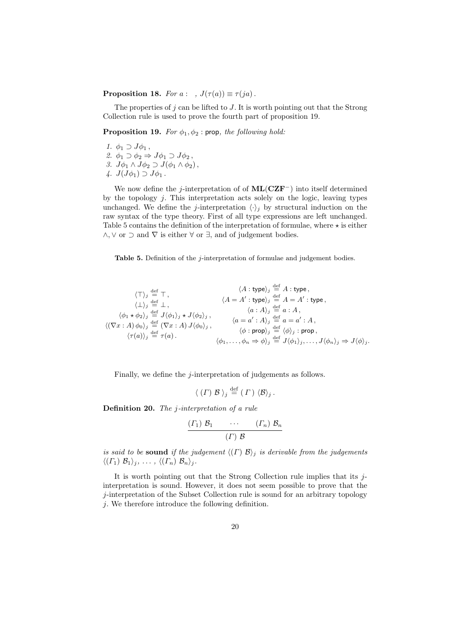**Proposition 18.** For  $a : \mathsf{P}, J(\tau(a)) \equiv \tau(ja)$ .

The properties of  $j$  can be lifted to  $J$ . It is worth pointing out that the Strong Collection rule is used to prove the fourth part of proposition 19.

**Proposition 19.** For  $\phi_1, \phi_2$ : prop, the following hold:

1.  $\phi_1 \supset J\phi_1$ , 2.  $\phi_1 \supset \phi_2 \Rightarrow J\phi_1 \supset J\phi_2$ , 3.  $J\phi_1 \wedge J\phi_2 \supset J(\phi_1 \wedge \phi_2),$ 4.  $J(J\phi_1) \supset J\phi_1$ .

We now define the j-interpretation of of  $ML(CZF^-)$  into itself determined by the topology  $i$ . This interpretation acts solely on the logic, leaving types unchanged. We define the *j*-interpretation  $\langle \cdot \rangle_i$  by structural induction on the raw syntax of the type theory. First of all type expressions are left unchanged. Table 5 contains the definition of the interpretation of formulae, where  $\star$  is either  $\land$ ,  $\lor$  or  $\supset$  and  $\nabla$  is either  $\forall$  or  $\exists$ , and of judgement bodies.

Table 5. Definition of the *j*-interpretation of formulae and judgement bodies.

$$
\langle T \rangle_j \stackrel{\text{def}}{=} T,
$$
\n
$$
\langle \bot \rangle_j \stackrel{\text{def}}{=} \bot,
$$
\n
$$
\langle \bot \rangle_j \stackrel{\text{def}}{=} \bot,
$$
\n
$$
\langle \bot \rangle_j \stackrel{\text{def}}{=} \bot,
$$
\n
$$
\langle \bot \rangle_k \stackrel{\text{def}}{=} \bot,
$$
\n
$$
\langle \bot \rangle_k \stackrel{\text{def}}{=} \bot,
$$
\n
$$
\langle \bot \rangle_k \stackrel{\text{def}}{=} J(\phi_1)_j * J(\phi_2)_j,
$$
\n
$$
\langle \bot \rangle_k \stackrel{\text{def}}{=} a : A,
$$
\n
$$
\langle \bot \rangle_k \stackrel{\text{def}}{=} a : A,
$$
\n
$$
\langle \bot \rangle_k \stackrel{\text{def}}{=} J(\phi_1)_j * J(\phi_2)_j,
$$
\n
$$
\langle \bot \rangle_k \stackrel{\text{def}}{=} a : A \rangle_k \stackrel{\text{def}}{=} a : A,
$$
\n
$$
\langle \bot \rangle_k \stackrel{\text{def}}{=} a : A,
$$
\n
$$
\langle \bot \rangle_k \stackrel{\text{def}}{=} a : A,
$$
\n
$$
\langle \bot \rangle_k \stackrel{\text{def}}{=} a : A,
$$
\n
$$
\langle \bot \rangle_k \stackrel{\text{def}}{=} a : A,
$$
\n
$$
\langle \bot \rangle_k \stackrel{\text{def}}{=} a : A,
$$
\n
$$
\langle \bot \rangle_k \stackrel{\text{def}}{=} a : A,
$$
\n
$$
\langle \bot \rangle_k \stackrel{\text{def}}{=} a : A,
$$
\n
$$
\langle \bot \rangle_k \stackrel{\text{def}}{=} a : A,
$$
\n
$$
\langle \bot \rangle_k \stackrel{\text{def}}{=} a : A,
$$
\n
$$
\langle \bot \rangle_k \stackrel{\text{def}}{=} a : A,
$$
\n
$$
\langle \bot \rangle_k \stackrel{\text{def}}{=} a : A,
$$
\n
$$
\langle \bot \rangle_k \stackrel{\text{def}}{=} a : A,
$$
\n
$$
\langle \bot \rangle_k \stackrel{\text{def}}{=} a : A,
$$
\n
$$
\langle \bot \rangle_k \stackrel{\text{def}}{=} a : A,
$$
\n
$$
\langle \
$$

Finally, we define the *j*-interpretation of judgements as follows.

$$
\langle (\Gamma) \mathcal{B} \rangle_j \stackrel{\text{def}}{=} (\Gamma) \langle \mathcal{B} \rangle_j.
$$

Definition 20. The j-interpretation of a rule

$$
\frac{(T_1) \mathcal{B}_1 \cdots (T_n) \mathcal{B}_n}{(T) \mathcal{B}}
$$

is said to be sound if the judgement  $\langle \langle \Gamma \rangle \rangle$  is derivable from the judgements  $\langle (\Gamma_1) \mathcal{B}_1 \rangle_j, \ldots, \langle (\Gamma_n) \mathcal{B}_n \rangle_j.$ 

It is worth pointing out that the Strong Collection rule implies that its jinterpretation is sound. However, it does not seem possible to prove that the j-interpretation of the Subset Collection rule is sound for an arbitrary topology j. We therefore introduce the following definition.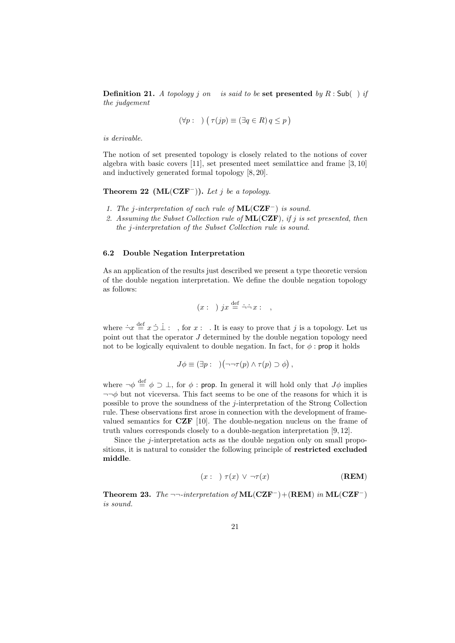**Definition 21.** A topology j on P is said to be set presented by  $R : Sub(P)$  if the judgement

$$
(\forall p : \mathsf{P}) \ (\ \tau(jp) \equiv (\exists q \in R) \ q \leq p)
$$

is derivable.

The notion of set presented topology is closely related to the notions of cover algebra with basic covers [11], set presented meet semilattice and frame [3, 10] and inductively generated formal topology [8, 20].

Theorem 22 (ML(CZF<sup>-</sup>)). Let j be a topology.

- 1. The j-interpretation of each rule of  $ML(CZF^-)$  is sound.
- 2. Assuming the Subset Collection rule of  $ML(CZF)$ , if j is set presented, then the j-interpretation of the Subset Collection rule is sound.

### 6.2 Double Negation Interpretation

As an application of the results just described we present a type theoretic version of the double negation interpretation. We define the double negation topology as follows:

$$
(x : \mathsf{P}) \; jx \stackrel{\text{def}}{=} \dot{\neg} \dot{\neg} x : \mathsf{P},
$$

where  $\dot{\neg} x \stackrel{\text{def}}{=} x \dot{\supset} \dot{\perp} : \mathsf{P},$  for  $x : \mathsf{P}.$  It is easy to prove that j is a topology. Let us point out that the operator  $J$  determined by the double negation topology need not to be logically equivalent to double negation. In fact, for  $\phi$ : prop it holds

$$
J\phi \equiv (\exists p : \mathsf{P})(\neg\neg\tau(p) \land \tau(p) \supset \phi),
$$

where  $\neg \phi \stackrel{\text{def}}{=} \phi \supset \bot$ , for  $\phi$ : prop. In general it will hold only that  $J\phi$  implies  $\neg\neg\phi$  but not viceversa. This fact seems to be one of the reasons for which it is possible to prove the soundness of the j-interpretation of the Strong Collection rule. These observations first arose in connection with the development of framevalued semantics for CZF [10]. The double-negation nucleus on the frame of truth values corresponds closely to a double-negation interpretation [9, 12].

Since the *i*-interpretation acts as the double negation only on small propositions, it is natural to consider the following principle of restricted excluded middle.

$$
(x : P) \ \tau(x) \ \vee \ \neg \tau(x) \tag{REM}
$$

Theorem 23. The ¬¬-interpretation of  $ML(CZF^-) + (REM)$  in  $ML(CZF^-)$ is sound.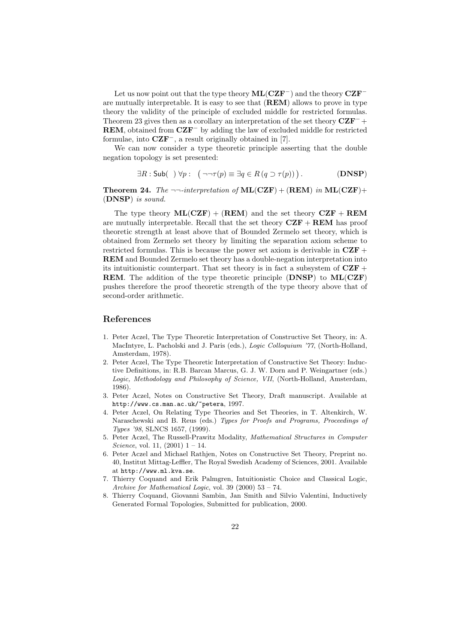Let us now point out that the type theory  $ML(CZF^-)$  and the theory  $CZF^$ are mutually interpretable. It is easy to see that  $(REM)$  allows to prove in type theory the validity of the principle of excluded middle for restricted formulas. Theorem 23 gives then as a corollary an interpretation of the set theory  $CZF^-$  + **REM**, obtained from  $CZF^-$  by adding the law of excluded middle for restricted formulae, into  $CZF^-$ , a result originally obtained in [7].

We can now consider a type theoretic principle asserting that the double negation topology is set presented:

$$
\exists R : \mathsf{Sub}(\mathsf{P}) \,\forall p : \mathsf{P}(\neg\neg\tau(p) \equiv \exists q \in R(q \supset \tau(p))) \,.
$$
 (DNSP)

**Theorem 24.** The  $\neg\neg$ -interpretation of  $ML(CZF) + (REM)$  in  $ML(CZF) +$ (DNSP) is sound.

The type theory  $ML(CZF) + (REM)$  and the set theory  $CZF + REM$ are mutually interpretable. Recall that the set theory  $CZF + REM$  has proof theoretic strength at least above that of Bounded Zermelo set theory, which is obtained from Zermelo set theory by limiting the separation axiom scheme to restricted formulas. This is because the power set axiom is derivable in  $CZF$  + REM and Bounded Zermelo set theory has a double-negation interpretation into its intuitionistic counterpart. That set theory is in fact a subsystem of  $CZF +$ REM. The addition of the type theoretic principle (DNSP) to ML(CZF) pushes therefore the proof theoretic strength of the type theory above that of second-order arithmetic.

# References

- 1. Peter Aczel, The Type Theoretic Interpretation of Constructive Set Theory, in: A. MacIntyre, L. Pacholski and J. Paris (eds.), *Logic Colloquium '77*, (North-Holland, Amsterdam, 1978).
- 2. Peter Aczel, The Type Theoretic Interpretation of Constructive Set Theory: Inductive Definitions, in: R.B. Barcan Marcus, G. J. W. Dorn and P. Weingartner (eds.) Logic, Methodology and Philosophy of Science, VII, (North-Holland, Amsterdam, 1986).
- 3. Peter Aczel, Notes on Constructive Set Theory, Draft manuscript. Available at http://www.cs.man.ac.uk/~petera, 1997.
- 4. Peter Aczel, On Relating Type Theories and Set Theories, in T. Altenkirch, W. Naraschewski and B. Reus (eds.) Types for Proofs and Programs, Proceedings of Types '98, SLNCS 1657, (1999).
- 5. Peter Aczel, The Russell-Prawitz Modality, Mathematical Structures in Computer Science, vol. 11,  $(2001)$  1 – 14.
- 6. Peter Aczel and Michael Rathjen, Notes on Constructive Set Theory, Preprint no. 40, Institut Mittag-Leffler, The Royal Swedish Academy of Sciences, 2001. Available at http://www.ml.kva.se.
- 7. Thierry Coquand and Erik Palmgren, Intuitionistic Choice and Classical Logic, Archive for Mathematical Logic, vol. 39 (2000) 53 – 74.
- 8. Thierry Coquand, Giovanni Sambin, Jan Smith and Silvio Valentini, Inductively Generated Formal Topologies, Submitted for publication, 2000.